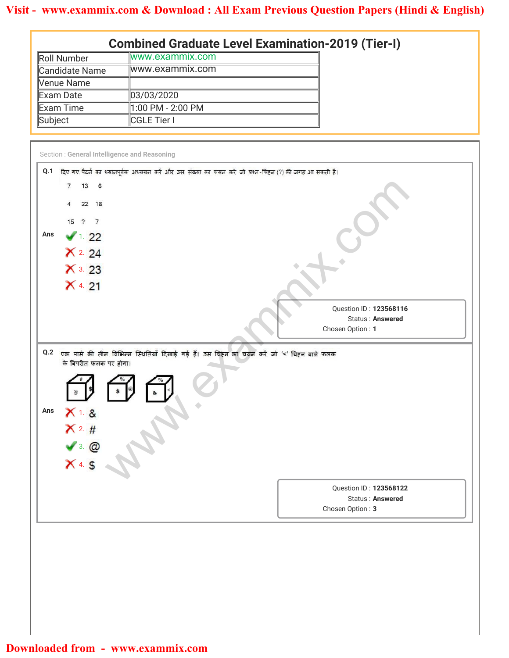| <b>Combined Graduate Level Examination-2019 (Tier-I)</b> |                    |  |  |  |
|----------------------------------------------------------|--------------------|--|--|--|
| Roll Number                                              | lwww.exammix.com   |  |  |  |
| Candidate Name                                           | www.exammix.com    |  |  |  |
| Venue Name                                               |                    |  |  |  |
| Exam Date                                                | 03/03/2020         |  |  |  |
| Exam Time                                                | 1:00 PM - 2:00 PM  |  |  |  |
| Subject                                                  | <b>CGLE Tier I</b> |  |  |  |

|                                                                                   | <b>Combined Graduate Level Examination-2019 (Tier-I)</b>                                                   |                                                                |  |
|-----------------------------------------------------------------------------------|------------------------------------------------------------------------------------------------------------|----------------------------------------------------------------|--|
| Roll Number                                                                       | www.exammix.com                                                                                            |                                                                |  |
| Candidate Name                                                                    | www.exammix.com                                                                                            |                                                                |  |
| Venue Name                                                                        |                                                                                                            |                                                                |  |
| Exam Date                                                                         | 03/03/2020                                                                                                 |                                                                |  |
| Exam Time                                                                         | 1:00 PM - 2:00 PM                                                                                          |                                                                |  |
| Subject                                                                           | CGLE Tier I                                                                                                |                                                                |  |
| Section: General Intelligence and Reasoning                                       |                                                                                                            |                                                                |  |
| 13 6<br>7<br>22 18<br>15 ? 7<br>Ans<br>1.22<br>$X^2.24$<br>$X$ 3. 23<br>$X$ 4. 21 | Q.1 दिए गए पैटर्न का ध्यानपूर्वक अध्ययन करें और उस संख्या का चयन करें जो प्रश्न-चिहन (?) की जगह आ सकती है। | Question ID: 123568116<br>Status: Answered<br>Chosen Option: 1 |  |
| के विपरीत फलक पर होगा।<br>Ans<br>$X$ 1. &<br>X 2.#<br>$x^3.$ @<br>$x^4.$ \$       |                                                                                                            |                                                                |  |
|                                                                                   |                                                                                                            | Question ID: 123568122<br>Status: Answered<br>Chosen Option: 3 |  |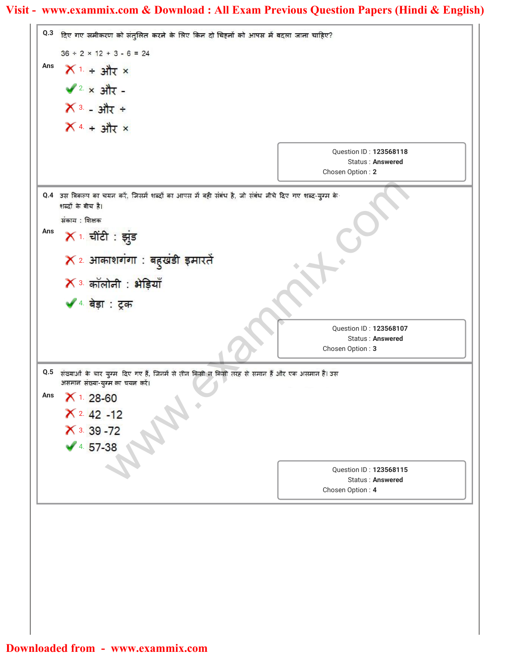### **Visit - www.exammix.com & Download : All Exam Previous Question Papers (Hindi & English)**

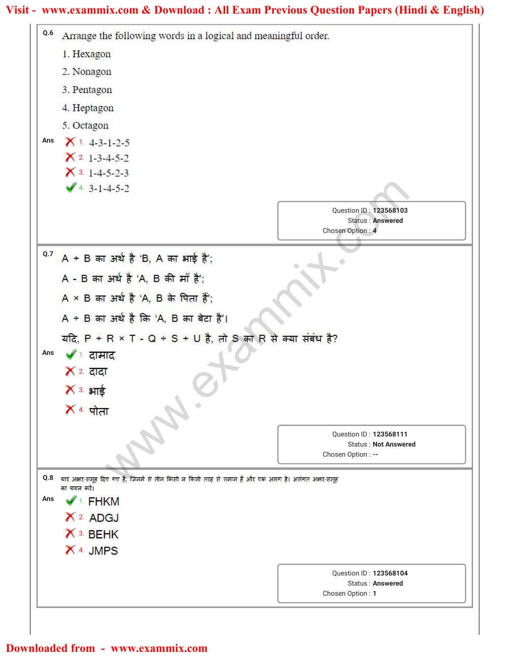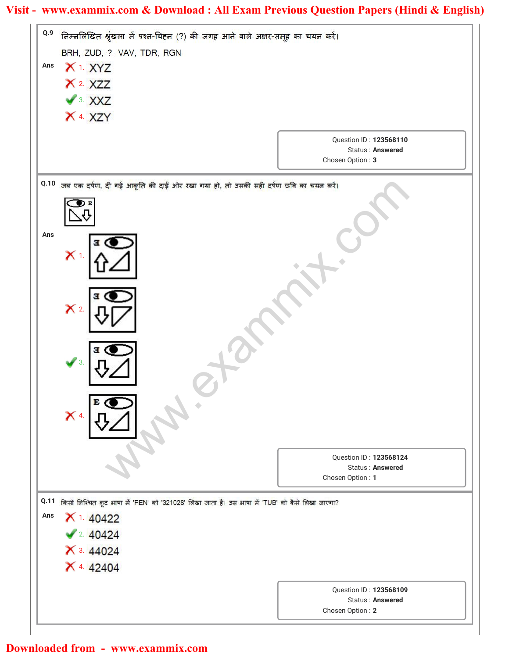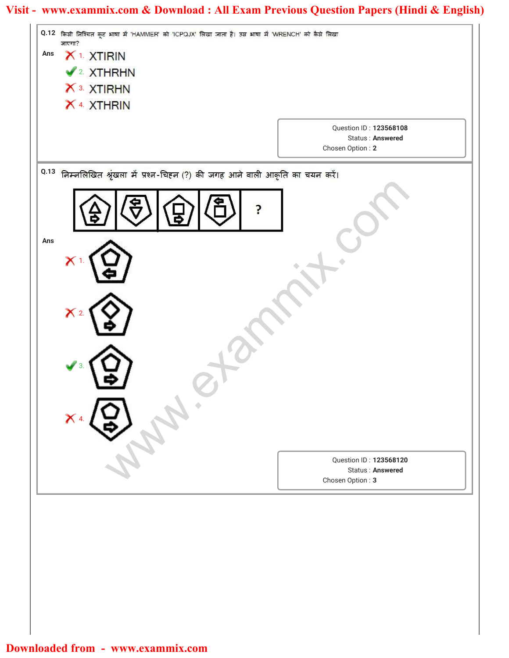# **Visit - www.exammix.com & Download : All Exam Previous Question Papers (Hindi & English)**

| X 3. XTIRHN                                                                     | Question ID: 123568108 |
|---------------------------------------------------------------------------------|------------------------|
| X 4. XTHRIN                                                                     | Status: Answered       |
| 0.13 निम्नलिखित श्रृंखला में प्रश्न-चिहन (?) की जगह आने वाली आकृति का चयन करें। | Chosen Option: 2       |
| Ans<br>X <sub>1</sub><br>$\mathsf{X}$ 2.<br>$\sqrt{3}$                          |                        |
| $\ddot{\phantom{0}}$                                                            | Question ID: 123568120 |
| $X$ 4.                                                                          | Status: Answered       |
|                                                                                 | Chosen Option: 3       |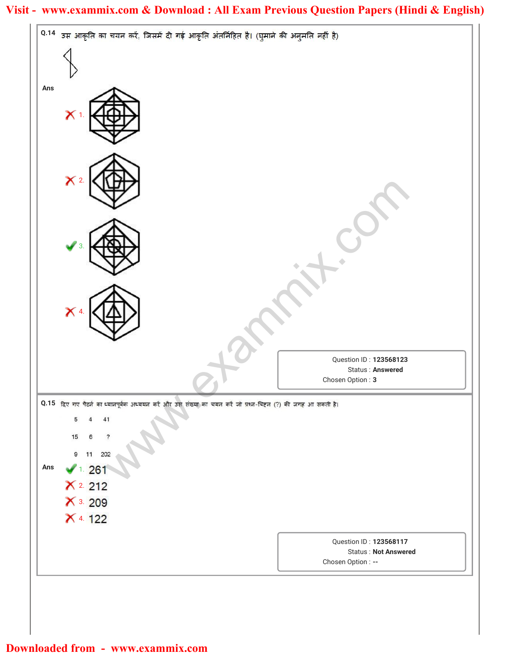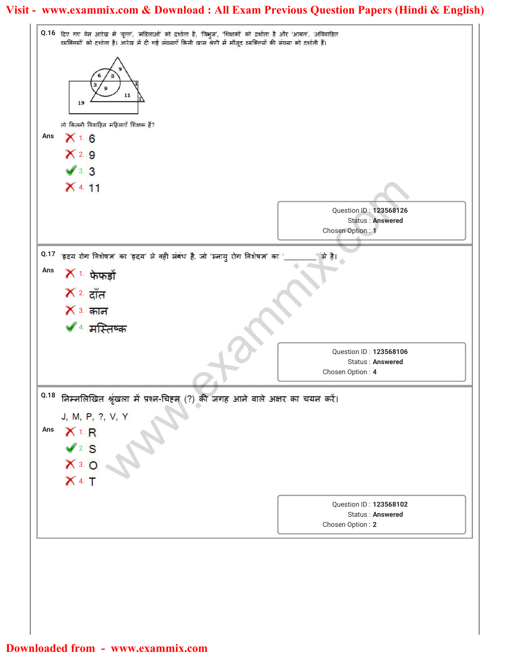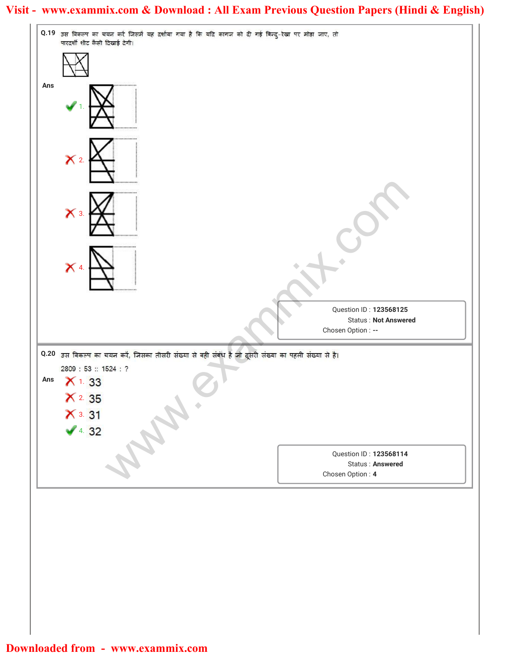## **Visit - www.exammix.com & Download : All Exam Previous Question Papers (Hindi & English)**

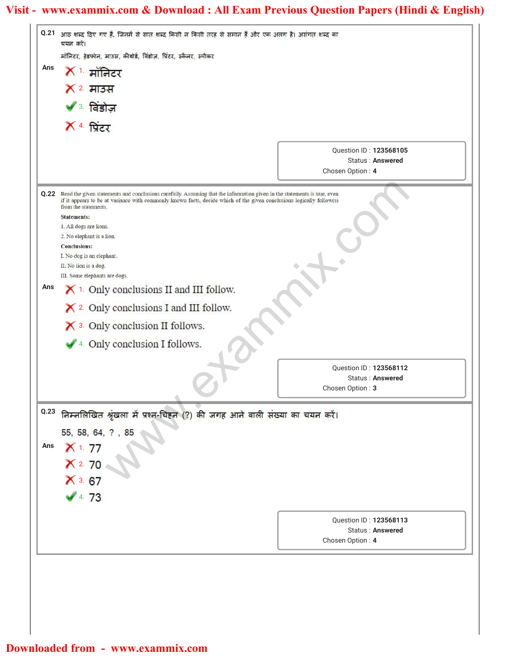|                                                                                                                          | मॉनिटर, हेडफोन, माउस, कीबोर्ड, विंडोज़, प्रिंटर, स्कैनर, स्पीकर                                                                                                                                                                                       |                                            |
|--------------------------------------------------------------------------------------------------------------------------|-------------------------------------------------------------------------------------------------------------------------------------------------------------------------------------------------------------------------------------------------------|--------------------------------------------|
| Ans<br>$X_1$ मॉनिटर                                                                                                      |                                                                                                                                                                                                                                                       |                                            |
| $X2$ माउस                                                                                                                |                                                                                                                                                                                                                                                       |                                            |
| $\sqrt{3}$ विंडोज़                                                                                                       |                                                                                                                                                                                                                                                       |                                            |
| X <sup>4</sup> प्रिंटर                                                                                                   |                                                                                                                                                                                                                                                       |                                            |
|                                                                                                                          |                                                                                                                                                                                                                                                       | Question ID: 123568105                     |
|                                                                                                                          |                                                                                                                                                                                                                                                       | Status: Answered<br>Chosen Option: 4       |
| from the statements.<br><b>Statements:</b><br>1. All dogs are lions.<br>2. No elephant is a lion.<br><b>Conclusions:</b> | Q.22 Read the given statements and conclusions carefully. Assuming that the information given in the statements is true, even<br>if it appears to be at variance with commonly known facts, decide which of the given conclusions logically follow(s) |                                            |
| I. No dog is an elephant.                                                                                                |                                                                                                                                                                                                                                                       |                                            |
| II. No lion is a dog.<br>III. Some elephants are dogs.                                                                   |                                                                                                                                                                                                                                                       |                                            |
| Ans                                                                                                                      | $\times$ 1. Only conclusions II and III follow.                                                                                                                                                                                                       |                                            |
|                                                                                                                          | X 2. Only conclusions I and III follow.                                                                                                                                                                                                               |                                            |
|                                                                                                                          | $\boldsymbol{\times}$ 3. Only conclusion II follows.                                                                                                                                                                                                  |                                            |
|                                                                                                                          | 4. Only conclusion I follows.                                                                                                                                                                                                                         |                                            |
|                                                                                                                          |                                                                                                                                                                                                                                                       |                                            |
|                                                                                                                          |                                                                                                                                                                                                                                                       | Ouestion ID: 123568112<br>Status: Answered |
|                                                                                                                          |                                                                                                                                                                                                                                                       | Chosen Option: 3                           |
|                                                                                                                          | 0.23 निम्नलिखित श्रृंखला में प्रश्न-चिहन (?) की जगह आने वाली संख्या का चयन करें।                                                                                                                                                                      |                                            |
|                                                                                                                          | 55, 58, 64, ?, 85                                                                                                                                                                                                                                     |                                            |
| Ans<br>$X$ 1. 77                                                                                                         |                                                                                                                                                                                                                                                       |                                            |
| $X$ 2.70                                                                                                                 |                                                                                                                                                                                                                                                       |                                            |
| $X$ 3. 67                                                                                                                |                                                                                                                                                                                                                                                       |                                            |
| 4.73                                                                                                                     |                                                                                                                                                                                                                                                       |                                            |
|                                                                                                                          |                                                                                                                                                                                                                                                       |                                            |
|                                                                                                                          |                                                                                                                                                                                                                                                       | Question ID: 123568113<br>Status: Answered |
|                                                                                                                          |                                                                                                                                                                                                                                                       | Chosen Option: 4                           |
|                                                                                                                          |                                                                                                                                                                                                                                                       |                                            |
|                                                                                                                          |                                                                                                                                                                                                                                                       |                                            |